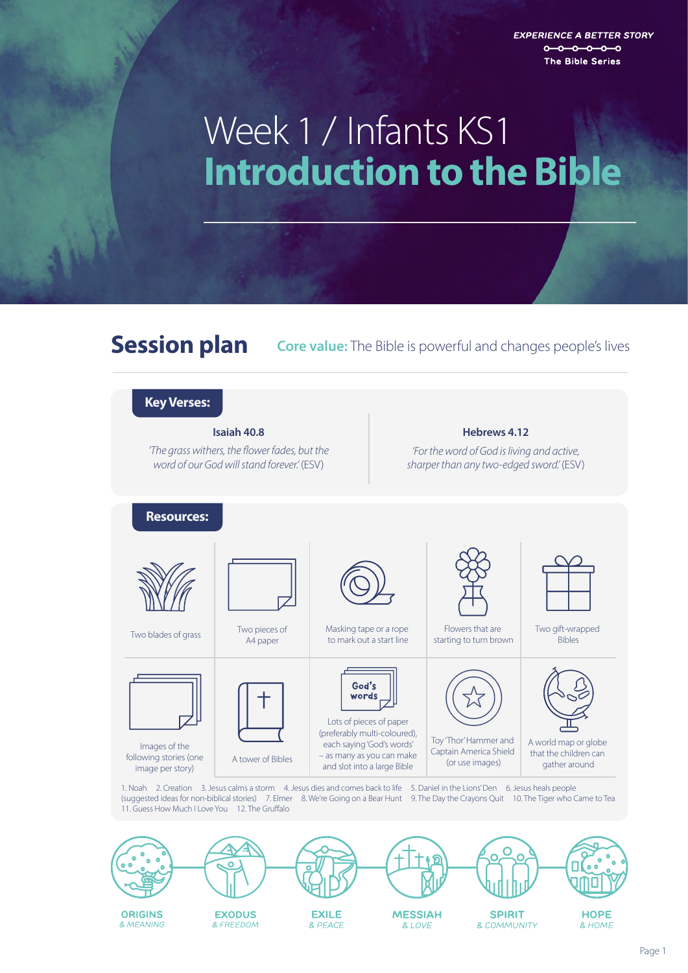**EXPERIENCE A BETTER STORY**  $0 - 0 - 0 - 0 - 0$ The Bible Series

# **Introduction to the Bible**  Week 1 / Infants KS1

**Session plan Core value:** The Bible is powerful and changes people's lives



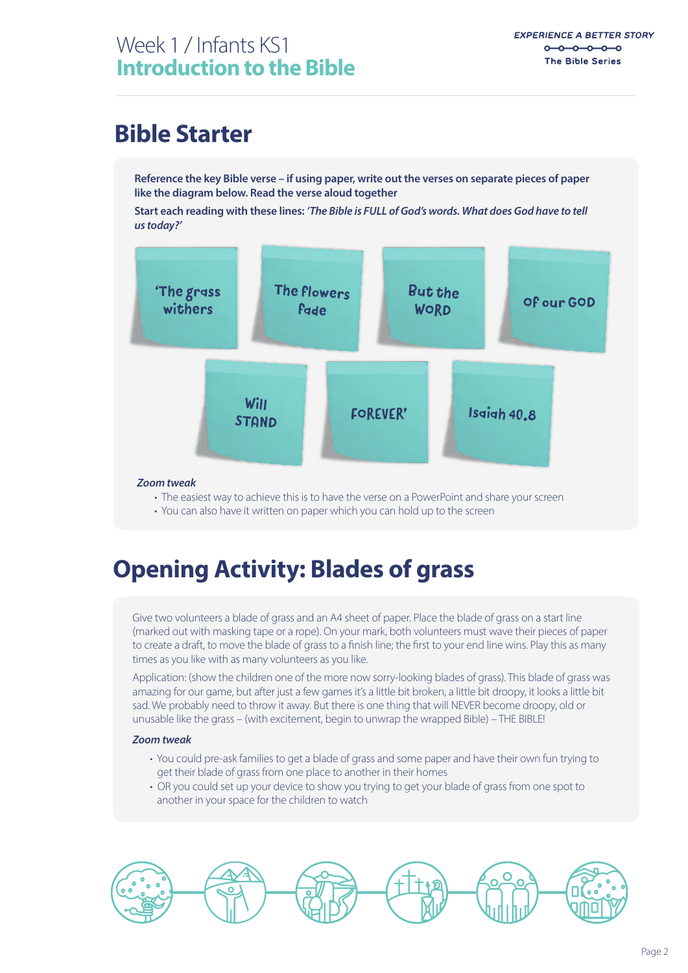### **Bible Starter**

**Reference the key Bible verse – if using paper, write out the verses on separate pieces of paper like the diagram below. Read the verse aloud together**

**Start each reading with these lines:** *'The Bible is FULL of God's words. What does God have to tell us today?'*



#### *Zoom tweak*

- The easiest way to achieve this is to have the verse on a PowerPoint and share your screen
- You can also have it written on paper which you can hold up to the screen

### **Opening Activity: Blades of grass**

Give two volunteers a blade of grass and an A4 sheet of paper. Place the blade of grass on a start line (marked out with masking tape or a rope). On your mark, both volunteers must wave their pieces of paper to create a draft, to move the blade of grass to a finish line; the first to your end line wins. Play this as many times as you like with as many volunteers as you like.

Application: (show the children one of the more now sorry-looking blades of grass). This blade of grass was amazing for our game, but after just a few games it's a little bit broken, a little bit droopy, it looks a little bit sad. We probably need to throw it away. But there is one thing that will NEVER become droopy, old or unusable like the grass – (with excitement, begin to unwrap the wrapped Bible) – THE BIBLE!

#### *Zoom tweak*

- You could pre-ask families to get a blade of grass and some paper and have their own fun trying to get their blade of grass from one place to another in their homes
- OR you could set up your device to show you trying to get your blade of grass from one spot to another in your space for the children to watch

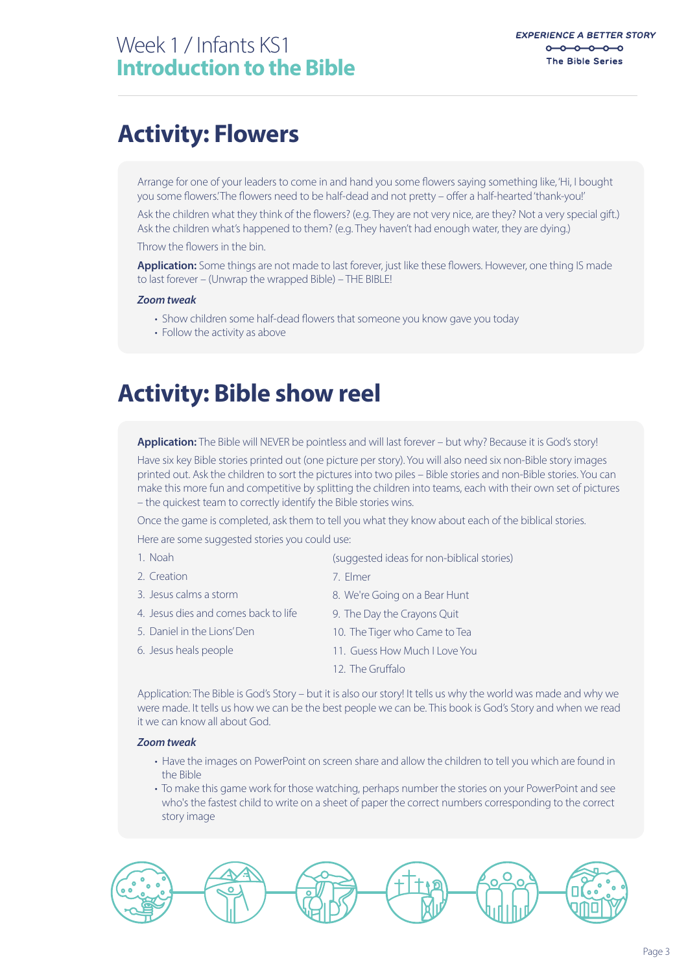### **Activity: Flowers**

Arrange for one of your leaders to come in and hand you some flowers saying something like, 'Hi, I bought you some flowers.' The flowers need to be half-dead and not pretty – offer a half-hearted 'thank-you!'

Ask the children what they think of the flowers? (e.g. They are not very nice, are they? Not a very special gift.) Ask the children what's happened to them? (e.g. They haven't had enough water, they are dying.)

Throw the flowers in the bin.

**Application:** Some things are not made to last forever, just like these flowers. However, one thing IS made to last forever – (Unwrap the wrapped Bible) – THE BIBLE!

#### *Zoom tweak*

- Show children some half-dead flowers that someone you know gave you today
- Follow the activity as above

### **Activity: Bible show reel**

**Application:** The Bible will NEVER be pointless and will last forever – but why? Because it is God's story!

Have six key Bible stories printed out (one picture per story). You will also need six non-Bible story images printed out. Ask the children to sort the pictures into two piles – Bible stories and non-Bible stories. You can make this more fun and competitive by splitting the children into teams, each with their own set of pictures – the quickest team to correctly identify the Bible stories wins.

Once the game is completed, ask them to tell you what they know about each of the biblical stories.

Here are some suggested stories you could use:

| 1. Noah                              | (suggested ideas for non-biblical stories) |
|--------------------------------------|--------------------------------------------|
| 2. Creation                          | 7. Elmer                                   |
| 3. Jesus calms a storm               | 8. We're Going on a Bear Hunt              |
| 4. Jesus dies and comes back to life | 9. The Day the Crayons Quit                |
| 5. Daniel in the Lions' Den          | 10. The Tiger who Came to Tea              |
| 6. Jesus heals people                | 11. Guess How Much I Love You              |
|                                      | 12. The Gruffalo                           |

Application: The Bible is God's Story – but it is also our story! It tells us why the world was made and why we were made. It tells us how we can be the best people we can be. This book is God's Story and when we read it we can know all about God.

#### *Zoom tweak*

- Have the images on PowerPoint on screen share and allow the children to tell you which are found in the Bible
- To make this game work for those watching, perhaps number the stories on your PowerPoint and see who's the fastest child to write on a sheet of paper the correct numbers corresponding to the correct story image

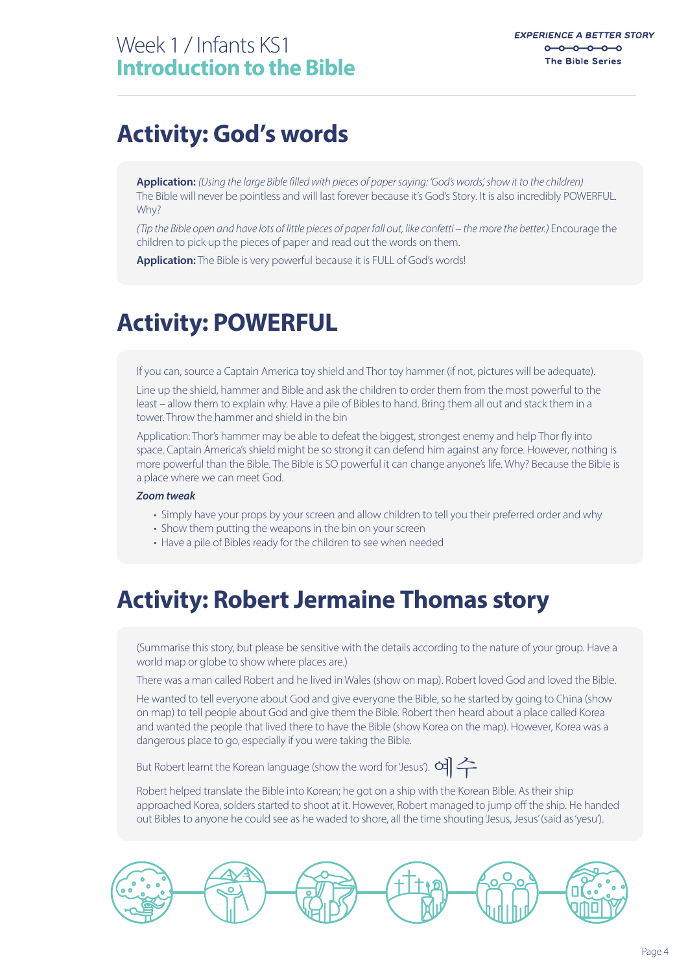### **Activity: God's words**

**Application:** *(Using the large Bible lled with pieces of paper saying: 'God's words', show it to the children)*  The Bible will never be pointless and will last forever because it's God's Story. It is also incredibly POWERFUL. Why?

*(Tip the Bible open and have lots of little pieces of paper fall out, like confetti – the more the better.)* Encourage the children to pick up the pieces of paper and read out the words on them.

**Application:** The Bible is very powerful because it is FULL of God's words!

## **Activity: POWERFUL**

If you can, source a Captain America toy shield and Thor toy hammer (if not, pictures will be adequate).

Line up the shield, hammer and Bible and ask the children to order them from the most powerful to the least – allow them to explain why. Have a pile of Bibles to hand. Bring them all out and stack them in a tower. Throw the hammer and shield in the bin

Application: Thor's hammer may be able to defeat the biggest, strongest enemy and help Thor fly into space. Captain America's shield might be so strong it can defend him against any force. However, nothing is more powerful than the Bible. The Bible is SO powerful it can change anyone's life. Why? Because the Bible is a place where we can meet God.

#### *Zoom tweak*

- Simply have your props by your screen and allow children to tell you their preferred order and why
- Show them putting the weapons in the bin on your screen
- Have a pile of Bibles ready for the children to see when needed

### **Activity: Robert Jermaine Thomas story**

(Summarise this story, but please be sensitive with the details according to the nature of your group. Have a world map or globe to show where places are.)

There was a man called Robert and he lived in Wales (show on map). Robert loved God and loved the Bible.

He wanted to tell everyone about God and give everyone the Bible, so he started by going to China (show on map) to tell people about God and give them the Bible. Robert then heard about a place called Korea and wanted the people that lived there to have the Bible (show Korea on the map). However, Korea was a dangerous place to go, especially if you were taking the Bible.

But Robert learnt the Korean language (show the word for 'Jesus').  $\alpha$ 

Robert helped translate the Bible into Korean; he got on a ship with the Korean Bible. As their ship approached Korea, solders started to shoot at it. However, Robert managed to jump off the ship. He handed out Bibles to anyone he could see as he waded to shore, all the time shouting 'Jesus, Jesus' (said as 'yesu').